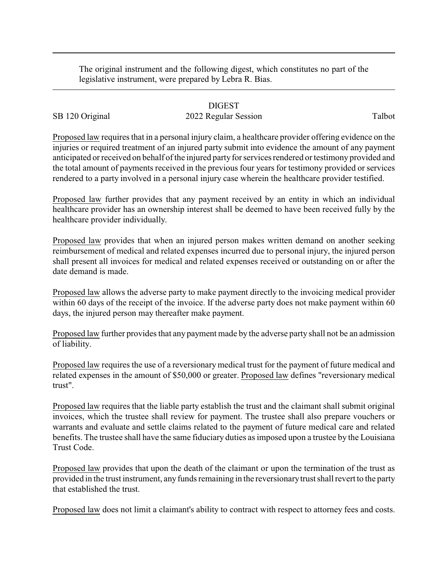The original instrument and the following digest, which constitutes no part of the legislative instrument, were prepared by Lebra R. Bias.

## DIGEST

## SB 120 Original 2022 Regular Session Talbot

Proposed law requires that in a personal injury claim, a healthcare provider offering evidence on the injuries or required treatment of an injured party submit into evidence the amount of any payment anticipated or received on behalf of the injured party for services rendered or testimony provided and the total amount of payments received in the previous four years for testimony provided or services rendered to a party involved in a personal injury case wherein the healthcare provider testified.

Proposed law further provides that any payment received by an entity in which an individual healthcare provider has an ownership interest shall be deemed to have been received fully by the healthcare provider individually.

Proposed law provides that when an injured person makes written demand on another seeking reimbursement of medical and related expenses incurred due to personal injury, the injured person shall present all invoices for medical and related expenses received or outstanding on or after the date demand is made.

Proposed law allows the adverse party to make payment directly to the invoicing medical provider within 60 days of the receipt of the invoice. If the adverse party does not make payment within 60 days, the injured person may thereafter make payment.

Proposed law further provides that any payment made by the adverse party shall not be an admission of liability.

Proposed law requires the use of a reversionarymedical trust for the payment of future medical and related expenses in the amount of \$50,000 or greater. Proposed law defines "reversionary medical trust".

Proposed law requires that the liable party establish the trust and the claimant shall submit original invoices, which the trustee shall review for payment. The trustee shall also prepare vouchers or warrants and evaluate and settle claims related to the payment of future medical care and related benefits. The trustee shall have the same fiduciary duties as imposed upon a trustee by the Louisiana Trust Code.

Proposed law provides that upon the death of the claimant or upon the termination of the trust as provided in the trust instrument, anyfunds remaining in the reversionarytrust shall revert to the party that established the trust.

Proposed law does not limit a claimant's ability to contract with respect to attorney fees and costs.